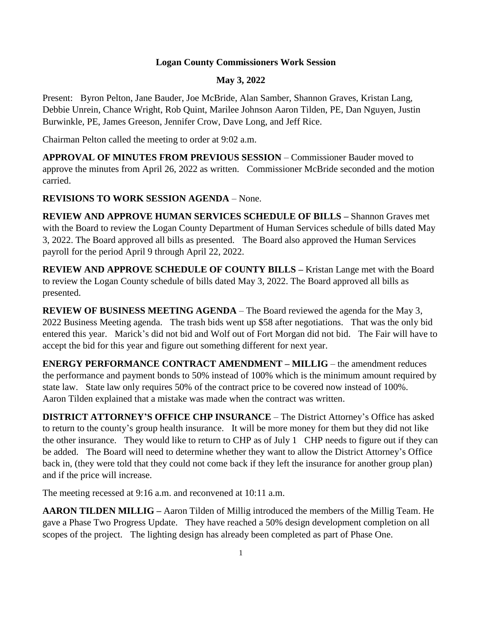## **Logan County Commissioners Work Session**

## **May 3, 2022**

Present: Byron Pelton, Jane Bauder, Joe McBride, Alan Samber, Shannon Graves, Kristan Lang, Debbie Unrein, Chance Wright, Rob Quint, Marilee Johnson Aaron Tilden, PE, Dan Nguyen, Justin Burwinkle, PE, James Greeson, Jennifer Crow, Dave Long, and Jeff Rice.

Chairman Pelton called the meeting to order at 9:02 a.m.

**APPROVAL OF MINUTES FROM PREVIOUS SESSION** – Commissioner Bauder moved to approve the minutes from April 26, 2022 as written. Commissioner McBride seconded and the motion carried.

## **REVISIONS TO WORK SESSION AGENDA** – None.

**REVIEW AND APPROVE HUMAN SERVICES SCHEDULE OF BILLS –** Shannon Graves met with the Board to review the Logan County Department of Human Services schedule of bills dated May 3, 2022. The Board approved all bills as presented. The Board also approved the Human Services payroll for the period April 9 through April 22, 2022.

**REVIEW AND APPROVE SCHEDULE OF COUNTY BILLS –** Kristan Lange met with the Board to review the Logan County schedule of bills dated May 3, 2022. The Board approved all bills as presented.

**REVIEW OF BUSINESS MEETING AGENDA** – The Board reviewed the agenda for the May 3, 2022 Business Meeting agenda. The trash bids went up \$58 after negotiations. That was the only bid entered this year. Marick's did not bid and Wolf out of Fort Morgan did not bid. The Fair will have to accept the bid for this year and figure out something different for next year.

**ENERGY PERFORMANCE CONTRACT AMENDMENT – MILLIG** – the amendment reduces the performance and payment bonds to 50% instead of 100% which is the minimum amount required by state law. State law only requires 50% of the contract price to be covered now instead of 100%. Aaron Tilden explained that a mistake was made when the contract was written.

**DISTRICT ATTORNEY'S OFFICE CHP INSURANCE** – The District Attorney's Office has asked to return to the county's group health insurance. It will be more money for them but they did not like the other insurance. They would like to return to CHP as of July 1 CHP needs to figure out if they can be added. The Board will need to determine whether they want to allow the District Attorney's Office back in, (they were told that they could not come back if they left the insurance for another group plan) and if the price will increase.

The meeting recessed at 9:16 a.m. and reconvened at 10:11 a.m.

**AARON TILDEN MILLIG –** Aaron Tilden of Millig introduced the members of the Millig Team. He gave a Phase Two Progress Update. They have reached a 50% design development completion on all scopes of the project. The lighting design has already been completed as part of Phase One.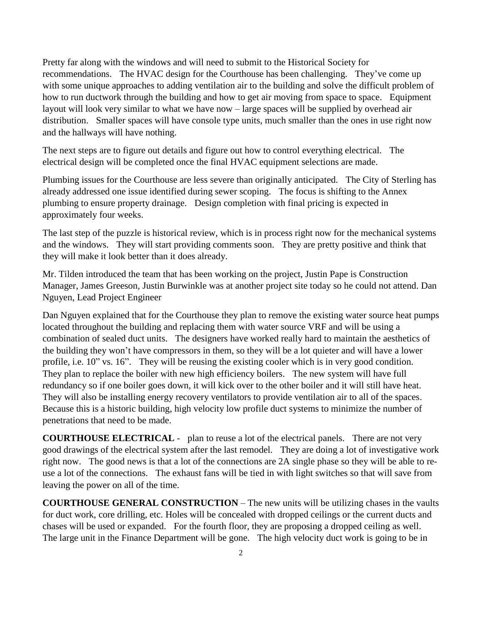Pretty far along with the windows and will need to submit to the Historical Society for recommendations. The HVAC design for the Courthouse has been challenging. They've come up with some unique approaches to adding ventilation air to the building and solve the difficult problem of how to run ductwork through the building and how to get air moving from space to space. Equipment layout will look very similar to what we have now – large spaces will be supplied by overhead air distribution. Smaller spaces will have console type units, much smaller than the ones in use right now and the hallways will have nothing.

The next steps are to figure out details and figure out how to control everything electrical. The electrical design will be completed once the final HVAC equipment selections are made.

Plumbing issues for the Courthouse are less severe than originally anticipated. The City of Sterling has already addressed one issue identified during sewer scoping. The focus is shifting to the Annex plumbing to ensure property drainage. Design completion with final pricing is expected in approximately four weeks.

The last step of the puzzle is historical review, which is in process right now for the mechanical systems and the windows. They will start providing comments soon. They are pretty positive and think that they will make it look better than it does already.

Mr. Tilden introduced the team that has been working on the project, Justin Pape is Construction Manager, James Greeson, Justin Burwinkle was at another project site today so he could not attend. Dan Nguyen, Lead Project Engineer

Dan Nguyen explained that for the Courthouse they plan to remove the existing water source heat pumps located throughout the building and replacing them with water source VRF and will be using a combination of sealed duct units. The designers have worked really hard to maintain the aesthetics of the building they won't have compressors in them, so they will be a lot quieter and will have a lower profile, i.e. 10" vs. 16". They will be reusing the existing cooler which is in very good condition. They plan to replace the boiler with new high efficiency boilers. The new system will have full redundancy so if one boiler goes down, it will kick over to the other boiler and it will still have heat. They will also be installing energy recovery ventilators to provide ventilation air to all of the spaces. Because this is a historic building, high velocity low profile duct systems to minimize the number of penetrations that need to be made.

**COURTHOUSE ELECTRICAL** - plan to reuse a lot of the electrical panels. There are not very good drawings of the electrical system after the last remodel. They are doing a lot of investigative work right now. The good news is that a lot of the connections are 2A single phase so they will be able to reuse a lot of the connections. The exhaust fans will be tied in with light switches so that will save from leaving the power on all of the time.

**COURTHOUSE GENERAL CONSTRUCTION** – The new units will be utilizing chases in the vaults for duct work, core drilling, etc. Holes will be concealed with dropped ceilings or the current ducts and chases will be used or expanded. For the fourth floor, they are proposing a dropped ceiling as well. The large unit in the Finance Department will be gone. The high velocity duct work is going to be in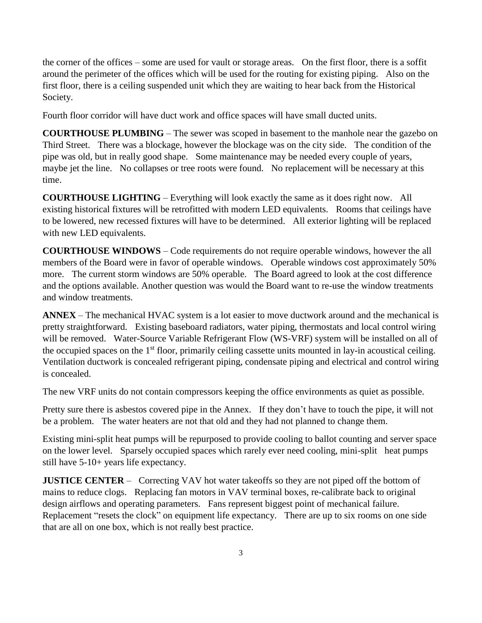the corner of the offices – some are used for vault or storage areas. On the first floor, there is a soffit around the perimeter of the offices which will be used for the routing for existing piping. Also on the first floor, there is a ceiling suspended unit which they are waiting to hear back from the Historical Society.

Fourth floor corridor will have duct work and office spaces will have small ducted units.

**COURTHOUSE PLUMBING** – The sewer was scoped in basement to the manhole near the gazebo on Third Street. There was a blockage, however the blockage was on the city side. The condition of the pipe was old, but in really good shape. Some maintenance may be needed every couple of years, maybe jet the line. No collapses or tree roots were found. No replacement will be necessary at this time.

**COURTHOUSE LIGHTING** – Everything will look exactly the same as it does right now. All existing historical fixtures will be retrofitted with modern LED equivalents. Rooms that ceilings have to be lowered, new recessed fixtures will have to be determined. All exterior lighting will be replaced with new LED equivalents.

**COURTHOUSE WINDOWS** – Code requirements do not require operable windows, however the all members of the Board were in favor of operable windows. Operable windows cost approximately 50% more. The current storm windows are 50% operable. The Board agreed to look at the cost difference and the options available. Another question was would the Board want to re-use the window treatments and window treatments.

**ANNEX** – The mechanical HVAC system is a lot easier to move ductwork around and the mechanical is pretty straightforward. Existing baseboard radiators, water piping, thermostats and local control wiring will be removed. Water-Source Variable Refrigerant Flow (WS-VRF) system will be installed on all of the occupied spaces on the 1<sup>st</sup> floor, primarily ceiling cassette units mounted in lay-in acoustical ceiling. Ventilation ductwork is concealed refrigerant piping, condensate piping and electrical and control wiring is concealed.

The new VRF units do not contain compressors keeping the office environments as quiet as possible.

Pretty sure there is asbestos covered pipe in the Annex. If they don't have to touch the pipe, it will not be a problem. The water heaters are not that old and they had not planned to change them.

Existing mini-split heat pumps will be repurposed to provide cooling to ballot counting and server space on the lower level. Sparsely occupied spaces which rarely ever need cooling, mini-split heat pumps still have 5-10+ years life expectancy.

**JUSTICE CENTER** – Correcting VAV hot water takeoffs so they are not piped off the bottom of mains to reduce clogs. Replacing fan motors in VAV terminal boxes, re-calibrate back to original design airflows and operating parameters. Fans represent biggest point of mechanical failure. Replacement "resets the clock" on equipment life expectancy. There are up to six rooms on one side that are all on one box, which is not really best practice.